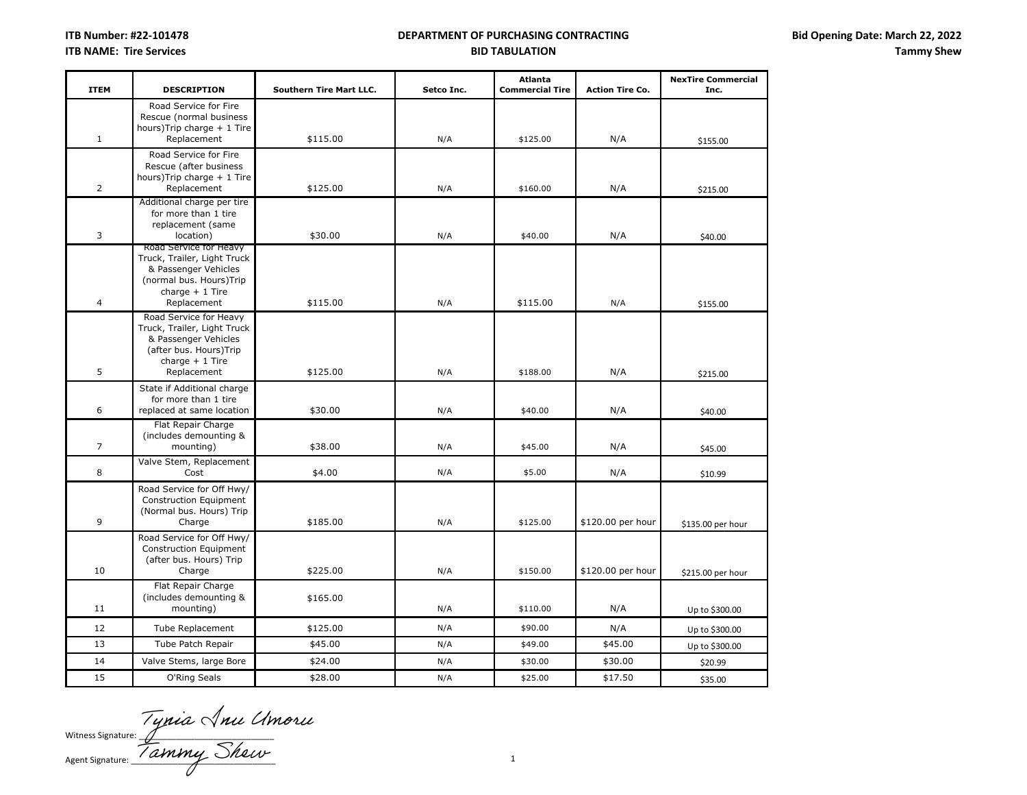| <b>ITEM</b>    | <b>DESCRIPTION</b>                                                                                                                          | <b>Southern Tire Mart LLC.</b> | Setco Inc. | <b>Atlanta</b><br><b>Commercial Tire</b> | <b>Action Tire Co.</b> | <b>NexTire Commercial</b><br>Inc. |
|----------------|---------------------------------------------------------------------------------------------------------------------------------------------|--------------------------------|------------|------------------------------------------|------------------------|-----------------------------------|
| $\mathbf{1}$   | Road Service for Fire<br>Rescue (normal business<br>hours)Trip charge + 1 Tire<br>Replacement                                               | \$115.00                       | N/A        | \$125.00                                 | N/A                    | \$155.00                          |
|                | Road Service for Fire                                                                                                                       |                                |            |                                          |                        |                                   |
| $\overline{2}$ | Rescue (after business<br>hours)Trip charge + 1 Tire<br>Replacement                                                                         | \$125.00                       | N/A        | \$160.00                                 | N/A                    | \$215.00                          |
| 3              | Additional charge per tire<br>for more than 1 tire<br>replacement (same<br>location)                                                        | \$30.00                        | N/A        | \$40.00                                  | N/A                    | \$40.00                           |
| $\overline{4}$ | Road Service for Heavy<br>Truck, Trailer, Light Truck<br>& Passenger Vehicles<br>(normal bus. Hours)Trip<br>charge $+1$ Tire<br>Replacement | \$115.00                       | N/A        | \$115.00                                 | N/A                    | \$155.00                          |
| 5              | Road Service for Heavy<br>Truck, Trailer, Light Truck<br>& Passenger Vehicles<br>(after bus. Hours)Trip<br>charge $+1$ Tire<br>Replacement  | \$125.00                       | N/A        | \$188.00                                 | N/A                    | \$215.00                          |
| 6              | State if Additional charge<br>for more than 1 tire<br>replaced at same location                                                             | \$30.00                        | N/A        | \$40.00                                  | N/A                    | \$40.00                           |
| $\overline{7}$ | Flat Repair Charge<br>(includes demounting &<br>mounting)                                                                                   | \$38.00                        | N/A        | \$45.00                                  | N/A                    | \$45.00                           |
| 8              | Valve Stem, Replacement<br>Cost                                                                                                             | \$4.00                         | N/A        | \$5.00                                   | N/A                    | \$10.99                           |
| 9              | Road Service for Off Hwy/<br>Construction Equipment<br>(Normal bus. Hours) Trip<br>Charge                                                   | \$185.00                       | N/A        | \$125.00                                 | \$120.00 per hour      | \$135.00 per hour                 |
| 10             | Road Service for Off Hwy/<br>Construction Equipment<br>(after bus. Hours) Trip<br>Charge                                                    | \$225.00                       | N/A        | \$150.00                                 | \$120.00 per hour      | \$215.00 per hour                 |
| 11             | Flat Repair Charge<br>(includes demounting &<br>mounting)                                                                                   | \$165.00                       | N/A        | \$110.00                                 | N/A                    | Up to \$300.00                    |
| 12             | Tube Replacement                                                                                                                            | \$125.00                       | N/A        | \$90.00                                  | N/A                    | Up to \$300.00                    |
| 13             | Tube Patch Repair                                                                                                                           | \$45.00                        | N/A        | \$49.00                                  | \$45.00                | Up to \$300.00                    |
| 14             | Valve Stems, large Bore                                                                                                                     | \$24.00                        | N/A        | \$30.00                                  | \$30.00                | \$20.99                           |
| 15             | O'Ring Seals                                                                                                                                | \$28.00                        | N/A        | \$25.00                                  | \$17.50                | \$35.00                           |

Witness Signature: \_\_\_\_\_\_\_\_\_\_\_\_\_\_\_\_\_\_\_\_\_\_\_\_\_\_\_\_\_ Agent Signature: \_\_\_\_\_\_\_\_\_\_\_\_\_\_\_\_\_\_\_\_\_\_\_\_\_\_\_\_\_\_\_ 1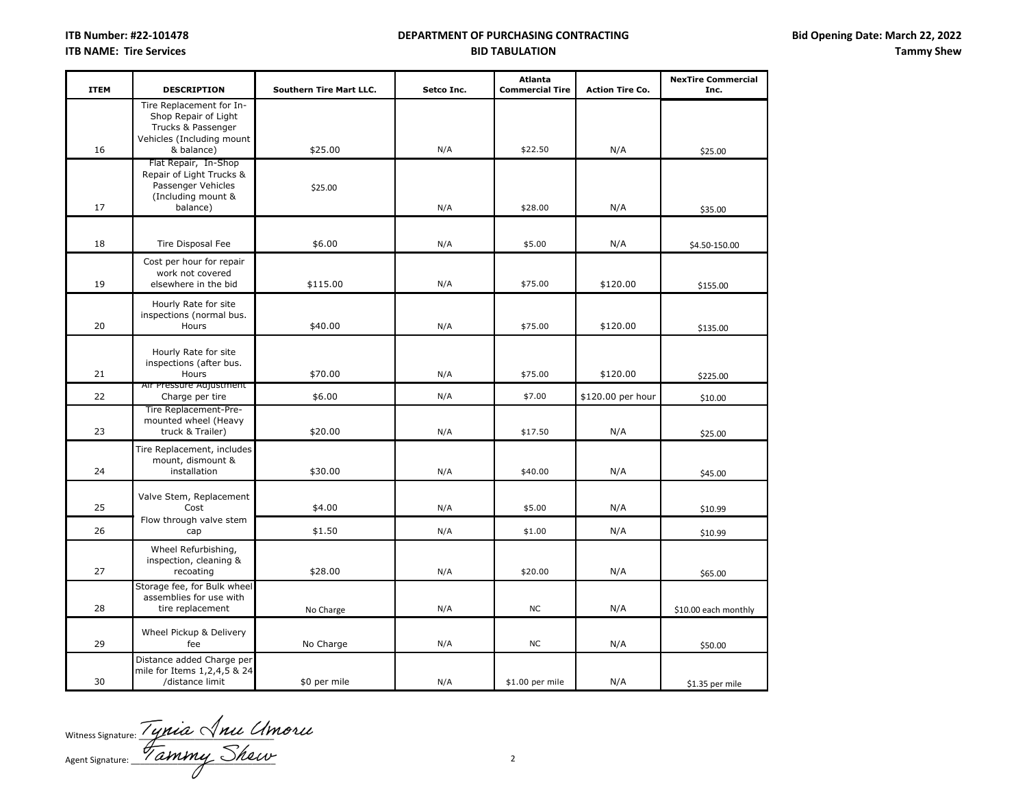| <b>ITEM</b> | <b>DESCRIPTION</b>                                                                                                | <b>Southern Tire Mart LLC.</b> | Setco Inc. | <b>Atlanta</b><br><b>Commercial Tire</b> | <b>Action Tire Co.</b> | <b>NexTire Commercial</b><br>Inc. |
|-------------|-------------------------------------------------------------------------------------------------------------------|--------------------------------|------------|------------------------------------------|------------------------|-----------------------------------|
| 16          | Tire Replacement for In-<br>Shop Repair of Light<br>Trucks & Passenger<br>Vehicles (Including mount<br>& balance) | \$25.00                        | N/A        | \$22.50                                  | N/A                    |                                   |
|             | Flat Repair, In-Shop                                                                                              |                                |            |                                          |                        | \$25.00                           |
| 17          | Repair of Light Trucks &<br>Passenger Vehicles<br>(Including mount &<br>balance)                                  | \$25.00                        | N/A        | \$28.00                                  | N/A                    | \$35.00                           |
| 18          | Tire Disposal Fee                                                                                                 | \$6.00                         | N/A        | \$5.00                                   | N/A                    | \$4.50-150.00                     |
| 19          | Cost per hour for repair<br>work not covered<br>elsewhere in the bid                                              | \$115.00                       | N/A        | \$75.00                                  | \$120.00               | \$155.00                          |
| 20          | Hourly Rate for site<br>inspections (normal bus.<br>Hours                                                         | \$40.00                        | N/A        | \$75.00                                  | \$120.00               | \$135.00                          |
| 21          | Hourly Rate for site<br>inspections (after bus.<br>Hours                                                          | \$70.00                        | N/A        | \$75.00                                  | \$120.00               | \$225.00                          |
| 22          | Air Pressure Adjustment<br>Charge per tire                                                                        | \$6.00                         | N/A        | \$7.00                                   | \$120.00 per hour      | \$10.00                           |
| 23          | Tire Replacement-Pre-<br>mounted wheel (Heavy<br>truck & Trailer)                                                 | \$20.00                        | N/A        | \$17.50                                  | N/A                    | \$25.00                           |
| 24          | Tire Replacement, includes<br>mount, dismount &<br>installation                                                   | \$30.00                        | N/A        | \$40.00                                  | N/A                    | \$45.00                           |
| 25          | Valve Stem, Replacement<br>Cost                                                                                   | \$4.00                         | N/A        | \$5.00                                   | N/A                    | \$10.99                           |
| 26          | Flow through valve stem<br>cap                                                                                    | \$1.50                         | N/A        | \$1.00                                   | N/A                    | \$10.99                           |
| 27          | Wheel Refurbishing,<br>inspection, cleaning &<br>recoating                                                        | \$28.00                        | N/A        | \$20.00                                  | N/A                    | \$65.00                           |
| 28          | Storage fee, for Bulk wheel<br>assemblies for use with<br>tire replacement                                        | No Charge                      | N/A        | <b>NC</b>                                | N/A                    | \$10.00 each monthly              |
| 29          | Wheel Pickup & Delivery<br>fee                                                                                    | No Charge                      | N/A        | <b>NC</b>                                | N/A                    | \$50.00                           |
| 30          | Distance added Charge per<br>mile for Items 1,2,4,5 & 24<br>/distance limit                                       | \$0 per mile                   | N/A        | \$1.00 per mile                          | N/A                    | \$1.35 per mile                   |

Witness Signature:  $\frac{1}{2}$  grade  $\sqrt{m}$ Agent Signature: NUMMY SNUW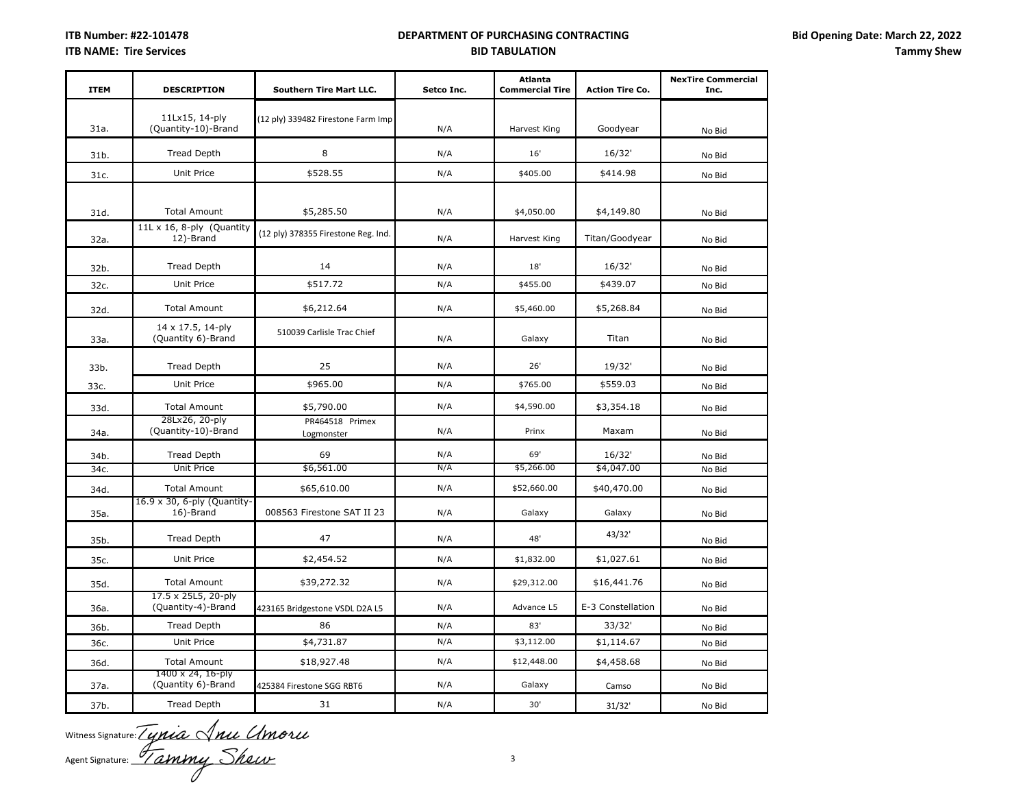| <b>ITEM</b> | <b>DESCRIPTION</b>                        | <b>Southern Tire Mart LLC.</b>      | Setco Inc. | <b>Atlanta</b><br><b>Commercial Tire</b> | <b>Action Tire Co.</b> | <b>NexTire Commercial</b><br>Inc. |
|-------------|-------------------------------------------|-------------------------------------|------------|------------------------------------------|------------------------|-----------------------------------|
| 31a.        | 11Lx15, 14-ply<br>(Quantity-10)-Brand     | (12 ply) 339482 Firestone Farm Imp  | N/A        | Harvest King                             | Goodyear               | No Bid                            |
| 31b.        | <b>Tread Depth</b>                        | 8                                   | N/A        | 16'                                      | 16/32'                 | No Bid                            |
| 31c.        | Unit Price                                | \$528.55                            | N/A        | \$405.00                                 | \$414.98               | No Bid                            |
| 31d.        | <b>Total Amount</b>                       | \$5,285.50                          | N/A        | \$4,050.00                               | \$4,149.80             | No Bid                            |
| 32a.        | 11L x 16, 8-ply (Quantity<br>12)-Brand    | (12 ply) 378355 Firestone Reg. Ind. | N/A        | Harvest King                             | Titan/Goodyear         | No Bid                            |
| 32b.        | <b>Tread Depth</b>                        | 14                                  | N/A        | 18'                                      | 16/32'                 | No Bid                            |
| 32c.        | Unit Price                                | \$517.72                            | N/A        | \$455.00                                 | \$439.07               | No Bid                            |
| 32d.        | <b>Total Amount</b>                       | \$6,212.64                          | N/A        | \$5,460.00                               | \$5,268.84             | No Bid                            |
| 33a.        | 14 x 17.5, 14-ply<br>(Quantity 6)-Brand   | 510039 Carlisle Trac Chief          | N/A        | Galaxy                                   | Titan                  | No Bid                            |
| 33b.        | <b>Tread Depth</b>                        | 25                                  | N/A        | 26'                                      | 19/32'                 | No Bid                            |
| 33c.        | Unit Price                                | \$965.00                            | N/A        | \$765.00                                 | \$559.03               | No Bid                            |
| 33d.        | <b>Total Amount</b>                       | \$5,790.00                          | N/A        | \$4,590.00                               | \$3,354.18             | No Bid                            |
| 34a.        | 28Lx26, 20-ply<br>(Quantity-10)-Brand     | PR464518 Primex<br>Logmonster       | N/A        | Prinx                                    | Maxam                  | No Bid                            |
| 34b.        | <b>Tread Depth</b>                        | 69                                  | N/A        | 69'                                      | 16/32'                 | No Bid                            |
| 34c.        | Unit Price                                | \$6,561.00                          | N/A        | \$5,266.00                               | \$4,047.00             | No Bid                            |
| 34d.        | <b>Total Amount</b>                       | \$65,610.00                         | N/A        | \$52,660.00                              | \$40,470.00            | No Bid                            |
| 35a.        | 16.9 x 30, 6-ply (Quantity-<br>16)-Brand  | 008563 Firestone SAT II 23          | N/A        | Galaxy                                   | Galaxy                 | No Bid                            |
| 35b.        | Tread Depth                               | 47                                  | N/A        | 48'                                      | 43/32'                 | No Bid                            |
| 35c.        | Unit Price                                | \$2,454.52                          | N/A        | \$1,832.00                               | \$1,027.61             | No Bid                            |
| 35d.        | <b>Total Amount</b>                       | \$39,272.32                         | N/A        | \$29,312.00                              | \$16,441.76            | No Bid                            |
| 36a.        | 17.5 x 25L5, 20-ply<br>(Quantity-4)-Brand | 423165 Bridgestone VSDL D2A L5      | N/A        | Advance L5                               | E-3 Constellation      | No Bid                            |
| 36b.        | <b>Tread Depth</b>                        | 86                                  | N/A        | 83'                                      | 33/32'                 | No Bid                            |
| 36c.        | Unit Price                                | \$4,731.87                          | N/A        | \$3,112.00                               | \$1,114.67             | No Bid                            |
| 36d.        | <b>Total Amount</b>                       | \$18,927.48                         | N/A        | \$12,448.00                              | \$4,458.68             | No Bid                            |
| 37a.        | 1400 x 24, 16-ply<br>(Quantity 6)-Brand   | 425384 Firestone SGG RBT6           | N/A        | Galaxy                                   | Camso                  | No Bid                            |
| 37b.        | <b>Tread Depth</b>                        | 31                                  | N/A        | 30'                                      | 31/32'                 | No Bid                            |

Witness Signature:  $\angle$  *UMLA*  $\vee$  *MLL UM* Agent Signature: <u>Yammy</u> Murray 3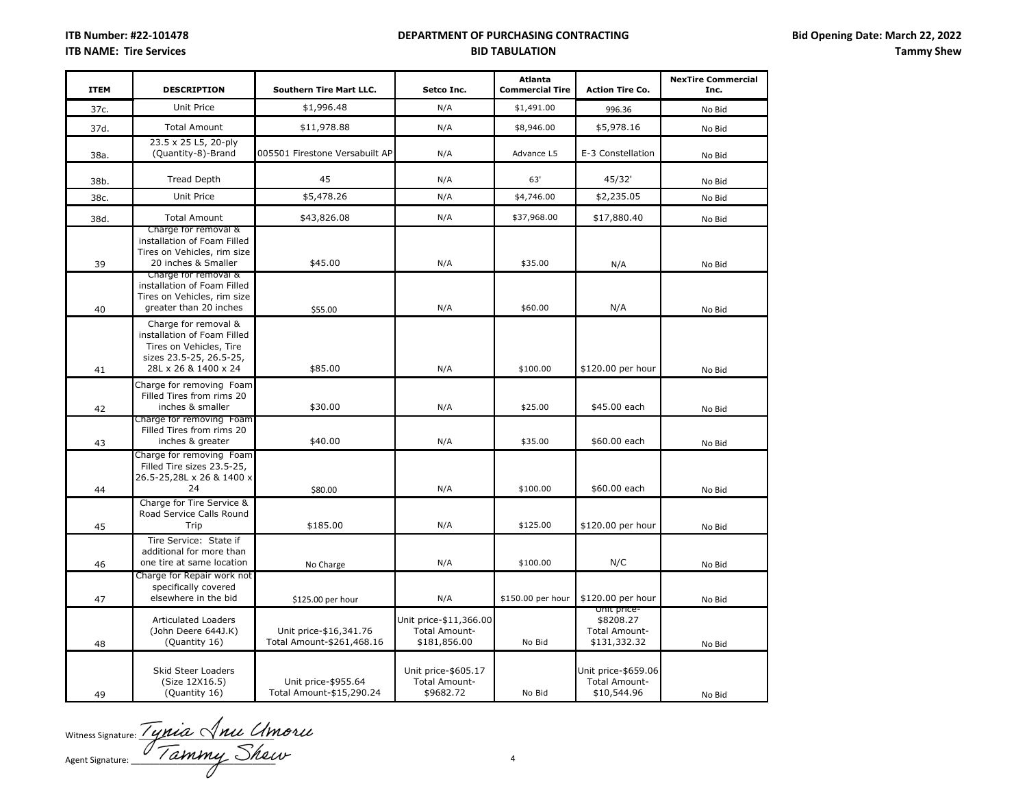| <b>ITEM</b> | <b>DESCRIPTION</b>                                                                                                                | <b>Southern Tire Mart LLC.</b>                      | Setco Inc.                                                     | <b>Atlanta</b><br><b>Commercial Tire</b> | <b>Action Tire Co.</b>                                    | <b>NexTire Commercial</b><br>Inc. |
|-------------|-----------------------------------------------------------------------------------------------------------------------------------|-----------------------------------------------------|----------------------------------------------------------------|------------------------------------------|-----------------------------------------------------------|-----------------------------------|
| 37c.        | <b>Unit Price</b>                                                                                                                 | \$1,996.48                                          | N/A                                                            | \$1,491.00                               | 996.36                                                    | No Bid                            |
| 37d.        | <b>Total Amount</b>                                                                                                               | \$11,978.88                                         | N/A                                                            | \$8,946.00                               | \$5,978.16                                                | No Bid                            |
| 38a.        | 23.5 x 25 L5, 20-ply<br>(Quantity-8)-Brand                                                                                        | 005501 Firestone Versabuilt AP                      | N/A                                                            | Advance L5                               | E-3 Constellation                                         | No Bid                            |
| 38b.        | <b>Tread Depth</b>                                                                                                                | 45                                                  | N/A                                                            | 63'                                      | 45/32'                                                    | No Bid                            |
| 38c.        | Unit Price                                                                                                                        | \$5,478.26                                          | N/A                                                            | \$4,746.00                               | \$2,235.05                                                | No Bid                            |
| 38d.        | <b>Total Amount</b>                                                                                                               | \$43,826.08                                         | N/A                                                            | \$37,968.00                              | \$17,880.40                                               | No Bid                            |
| 39          | Charge for removal &<br>installation of Foam Filled<br>Tires on Vehicles, rim size<br>20 inches & Smaller<br>Charge for removal & | \$45.00                                             | N/A                                                            | \$35.00                                  | N/A                                                       | No Bid                            |
| 40          | installation of Foam Filled<br>Tires on Vehicles, rim size<br>greater than 20 inches                                              | \$55.00                                             | N/A                                                            | \$60.00                                  | N/A                                                       | No Bid                            |
| 41          | Charge for removal &<br>installation of Foam Filled<br>Tires on Vehicles, Tire<br>sizes 23.5-25, 26.5-25,<br>28L x 26 & 1400 x 24 | \$85.00                                             | N/A                                                            | \$100.00                                 | \$120.00 per hour                                         | No Bid                            |
| 42          | Charge for removing Foam<br>Filled Tires from rims 20<br>inches & smaller                                                         | \$30.00                                             | N/A                                                            | \$25.00                                  | \$45.00 each                                              | No Bid                            |
| 43          | Charge for removing Foam<br>Filled Tires from rims 20<br>inches & greater                                                         | \$40.00                                             | N/A                                                            | \$35.00                                  | \$60.00 each                                              | No Bid                            |
| 44          | Charge for removing Foam<br>Filled Tire sizes 23.5-25,<br>26.5-25,28L x 26 & 1400 x<br>24                                         | \$80.00                                             | N/A                                                            | \$100.00                                 | \$60.00 each                                              | No Bid                            |
| 45          | Charge for Tire Service &<br>Road Service Calls Round<br>Trip                                                                     | \$185.00                                            | N/A                                                            | \$125.00                                 | \$120.00 per hour                                         | No Bid                            |
| 46          | Tire Service: State if<br>additional for more than<br>one tire at same location                                                   | No Charge                                           | N/A                                                            | \$100.00                                 | N/C                                                       | No Bid                            |
| 47          | Charge for Repair work not<br>specifically covered<br>elsewhere in the bid                                                        | \$125.00 per hour                                   | N/A                                                            | \$150.00 per hour                        | \$120.00 per hour                                         | No Bid                            |
| 48          | <b>Articulated Loaders</b><br>(John Deere 644J.K)<br>(Quantity 16)                                                                | Unit price-\$16,341.76<br>Total Amount-\$261,468.16 | Unit price-\$11,366.00<br><b>Total Amount-</b><br>\$181,856.00 | No Bid                                   | unit price-<br>\$8208.27<br>Total Amount-<br>\$131,332.32 | No Bid                            |
| 49          | Skid Steer Loaders<br>(Size 12X16.5)<br>(Quantity 16)                                                                             | Unit price-\$955.64<br>Total Amount-\$15,290.24     | Unit price-\$605.17<br><b>Total Amount-</b><br>\$9682.72       | No Bid                                   | Unit price-\$659.06<br>Total Amount-<br>\$10,544.96       | No Bid                            |

Witness Signature:  $\frac{1}{2}$   $\frac{1}{2}$   $\frac{1}{2}$   $\frac{1}{2}$   $\frac{1}{2}$   $\frac{1}{2}$   $\frac{1}{2}$   $\frac{1}{2}$   $\frac{1}{2}$ Agent Signature:  $\frac{1}{4}$